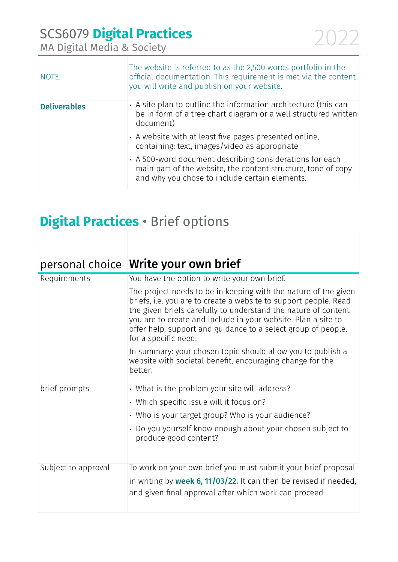| NOTE:               | The website is referred to as the 2,500 words portfolio in the<br>official documentation. This requirement is met via the content<br>you will write and publish on your website. |
|---------------------|----------------------------------------------------------------------------------------------------------------------------------------------------------------------------------|
| <b>Deliverables</b> | $\cdot$ A site plan to outline the information architecture (this can<br>be in form of a tree chart diagram or a well structured written<br>document)                            |
|                     | · A website with at least five pages presented online,<br>containing: text, images/video as appropriate                                                                          |
|                     | • A 500-word document describing considerations for each<br>main part of the website, the content structure, tone of copy<br>and why you chose to include certain elements.      |

#### **Digital Practices** • Brief options

| personal choice     | Write your own brief                                                                                                                                                                                                                                                                                                                                            |
|---------------------|-----------------------------------------------------------------------------------------------------------------------------------------------------------------------------------------------------------------------------------------------------------------------------------------------------------------------------------------------------------------|
| Requirements        | You have the option to write your own brief.                                                                                                                                                                                                                                                                                                                    |
|                     | The project needs to be in keeping with the nature of the given<br>briefs, i.e. you are to create a website to support people. Read<br>the given briefs carefully to understand the nature of content<br>you are to create and include in your website. Plan a site to<br>offer help, support and guidance to a select group of people,<br>for a specific need. |
|                     | In summary: your chosen topic should allow you to publish a<br>website with societal benefit, encouraging change for the<br>better.                                                                                                                                                                                                                             |
| brief prompts       | • What is the problem your site will address?                                                                                                                                                                                                                                                                                                                   |
|                     | • Which specific issue will it focus on?                                                                                                                                                                                                                                                                                                                        |
|                     | • Who is your target group? Who is your audience?                                                                                                                                                                                                                                                                                                               |
|                     | • Do you yourself know enough about your chosen subject to<br>produce good content?                                                                                                                                                                                                                                                                             |
| Subject to approval | To work on your own brief you must submit your brief proposal                                                                                                                                                                                                                                                                                                   |
|                     | in writing by <b>week 6, 11/03/22.</b> It can then be revised if needed,<br>and given final approval after which work can proceed.                                                                                                                                                                                                                              |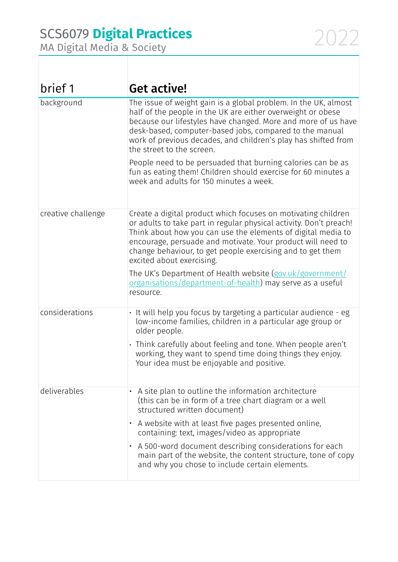| brief 1            | Get active!                                                                                                                                                                                                                                                                                                                                                   |
|--------------------|---------------------------------------------------------------------------------------------------------------------------------------------------------------------------------------------------------------------------------------------------------------------------------------------------------------------------------------------------------------|
| background         | The issue of weight gain is a global problem. In the UK, almost<br>half of the people in the UK are either overweight or obese<br>because our lifestyles have changed. More and more of us have<br>desk-based, computer-based jobs, compared to the manual<br>work of previous decades, and children's play has shifted from<br>the street to the screen.     |
|                    | People need to be persuaded that burning calories can be as<br>fun as eating them! Children should exercise for 60 minutes a<br>week and adults for 150 minutes a week.                                                                                                                                                                                       |
| creative challenge | Create a digital product which focuses on motivating children<br>or adults to take part in regular physical activity. Don't preach!<br>Think about how you can use the elements of digital media to<br>encourage, persuade and motivate. Your product will need to<br>change behaviour, to get people exercising and to get them<br>excited about exercising. |
|                    | The UK's Department of Health website (gov.uk/government/<br>organisations/department-of-health) may serve as a useful<br>resource.                                                                                                                                                                                                                           |
| considerations     | • It will help you focus by targeting a particular audience - eg<br>low-income families, children in a particular age group or<br>older people.                                                                                                                                                                                                               |
|                    | · Think carefully about feeling and tone. When people aren't<br>working, they want to spend time doing things they enjoy.<br>Your idea must be enjoyable and positive.                                                                                                                                                                                        |
| deliverables       | A site plan to outline the information architecture<br>(this can be in form of a tree chart diagram or a well<br>structured written document)                                                                                                                                                                                                                 |
|                    | A website with at least five pages presented online,<br>containing: text, images/video as appropriate                                                                                                                                                                                                                                                         |
|                    | A 500-word document describing considerations for each<br>$\bullet$<br>main part of the website, the content structure, tone of copy<br>and why you chose to include certain elements.                                                                                                                                                                        |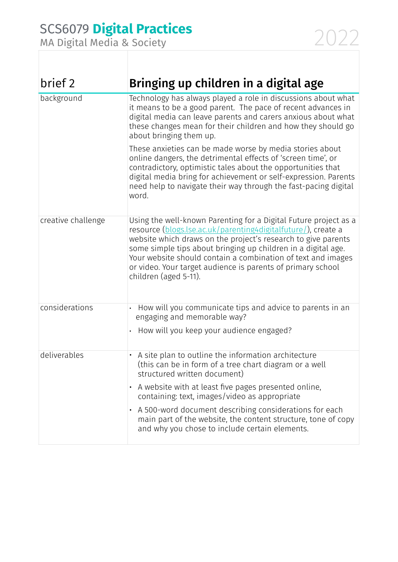| brief 2            | Bringing up children in a digital age                                                                                                                                                                                                                                                                                                                                                                                               |
|--------------------|-------------------------------------------------------------------------------------------------------------------------------------------------------------------------------------------------------------------------------------------------------------------------------------------------------------------------------------------------------------------------------------------------------------------------------------|
| background         | Technology has always played a role in discussions about what<br>it means to be a good parent. The pace of recent advances in<br>digital media can leave parents and carers anxious about what<br>these changes mean for their children and how they should go<br>about bringing them up.                                                                                                                                           |
|                    | These anxieties can be made worse by media stories about<br>online dangers, the detrimental effects of 'screen time', or<br>contradictory, optimistic tales about the opportunities that<br>digital media bring for achievement or self-expression. Parents<br>need help to navigate their way through the fast-pacing digital<br>word.                                                                                             |
| creative challenge | Using the well-known Parenting for a Digital Future project as a<br>resource (blogs.lse.ac.uk/parenting4digitalfuture/), create a<br>website which draws on the project's research to give parents<br>some simple tips about bringing up children in a digital age.<br>Your website should contain a combination of text and images<br>or video. Your target audience is parents of primary school<br>children (aged 5-11).         |
| considerations     | How will you communicate tips and advice to parents in an<br>engaging and memorable way?<br>How will you keep your audience engaged?                                                                                                                                                                                                                                                                                                |
| deliverables       | A site plan to outline the information architecture<br>(this can be in form of a tree chart diagram or a well<br>structured written document)<br>A website with at least five pages presented online,<br>containing: text, images/video as appropriate<br>A 500-word document describing considerations for each<br>main part of the website, the content structure, tone of copy<br>and why you chose to include certain elements. |